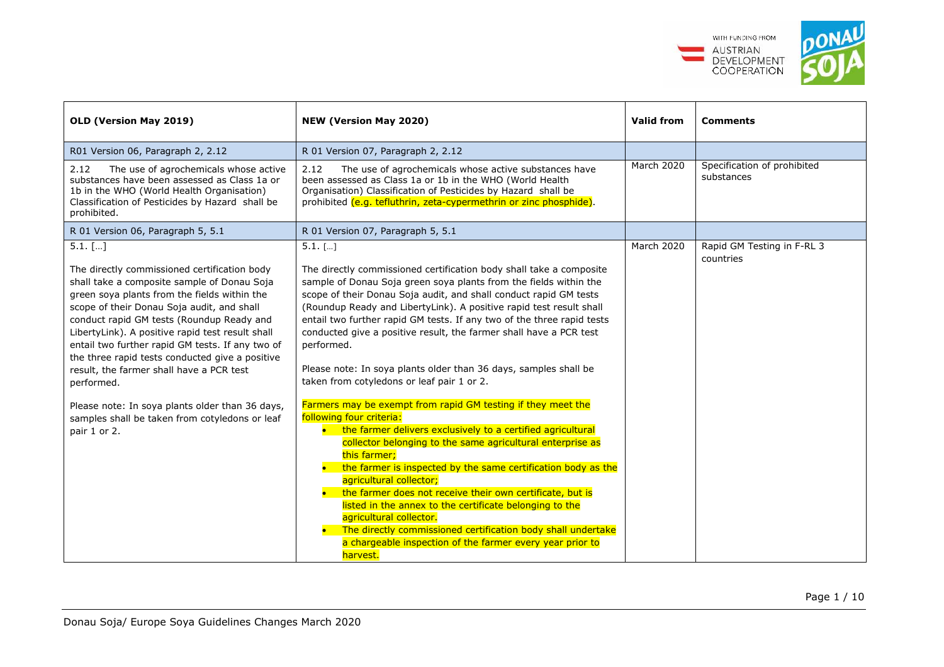

| OLD (Version May 2019)                                                                                                                                                                                                                                                                                                                                                                                                                                                                                                                                                                        | <b>NEW (Version May 2020)</b>                                                                                                                                                                                                                                                                                                                                                                                                                                                                                                                                                                                                                                                                                                                                                                                                                                                                                                                                                                                                                                                                                                                                                                                                                               | <b>Valid from</b> | <b>Comments</b>                           |
|-----------------------------------------------------------------------------------------------------------------------------------------------------------------------------------------------------------------------------------------------------------------------------------------------------------------------------------------------------------------------------------------------------------------------------------------------------------------------------------------------------------------------------------------------------------------------------------------------|-------------------------------------------------------------------------------------------------------------------------------------------------------------------------------------------------------------------------------------------------------------------------------------------------------------------------------------------------------------------------------------------------------------------------------------------------------------------------------------------------------------------------------------------------------------------------------------------------------------------------------------------------------------------------------------------------------------------------------------------------------------------------------------------------------------------------------------------------------------------------------------------------------------------------------------------------------------------------------------------------------------------------------------------------------------------------------------------------------------------------------------------------------------------------------------------------------------------------------------------------------------|-------------------|-------------------------------------------|
| R01 Version 06, Paragraph 2, 2.12                                                                                                                                                                                                                                                                                                                                                                                                                                                                                                                                                             | R 01 Version 07, Paragraph 2, 2.12                                                                                                                                                                                                                                                                                                                                                                                                                                                                                                                                                                                                                                                                                                                                                                                                                                                                                                                                                                                                                                                                                                                                                                                                                          |                   |                                           |
| 2.12<br>The use of agrochemicals whose active<br>substances have been assessed as Class 1a or<br>1b in the WHO (World Health Organisation)<br>Classification of Pesticides by Hazard shall be<br>prohibited.                                                                                                                                                                                                                                                                                                                                                                                  | 2.12<br>The use of agrochemicals whose active substances have<br>been assessed as Class 1a or 1b in the WHO (World Health<br>Organisation) Classification of Pesticides by Hazard shall be<br>prohibited (e.g. tefluthrin, zeta-cypermethrin or zinc phosphide).                                                                                                                                                                                                                                                                                                                                                                                                                                                                                                                                                                                                                                                                                                                                                                                                                                                                                                                                                                                            | <b>March 2020</b> | Specification of prohibited<br>substances |
| R 01 Version 06, Paragraph 5, 5.1                                                                                                                                                                                                                                                                                                                                                                                                                                                                                                                                                             | R 01 Version 07, Paragraph 5, 5.1                                                                                                                                                                                                                                                                                                                                                                                                                                                                                                                                                                                                                                                                                                                                                                                                                                                                                                                                                                                                                                                                                                                                                                                                                           |                   |                                           |
| $5.1.$ []<br>The directly commissioned certification body<br>shall take a composite sample of Donau Soja<br>green soya plants from the fields within the<br>scope of their Donau Soja audit, and shall<br>conduct rapid GM tests (Roundup Ready and<br>LibertyLink). A positive rapid test result shall<br>entail two further rapid GM tests. If any two of<br>the three rapid tests conducted give a positive<br>result, the farmer shall have a PCR test<br>performed.<br>Please note: In soya plants older than 36 days,<br>samples shall be taken from cotyledons or leaf<br>pair 1 or 2. | $5.1.$ []<br>The directly commissioned certification body shall take a composite<br>sample of Donau Soja green soya plants from the fields within the<br>scope of their Donau Soja audit, and shall conduct rapid GM tests<br>(Roundup Ready and LibertyLink). A positive rapid test result shall<br>entail two further rapid GM tests. If any two of the three rapid tests<br>conducted give a positive result, the farmer shall have a PCR test<br>performed.<br>Please note: In soya plants older than 36 days, samples shall be<br>taken from cotyledons or leaf pair 1 or 2.<br>Farmers may be exempt from rapid GM testing if they meet the<br>following four criteria:<br>• the farmer delivers exclusively to a certified agricultural<br>collector belonging to the same agricultural enterprise as<br>this farmer:<br>the farmer is inspected by the same certification body as the<br>$\bullet$<br>agricultural collector;<br>the farmer does not receive their own certificate, but is<br>$\bullet$<br>listed in the annex to the certificate belonging to the<br>agricultural collector.<br>The directly commissioned certification body shall undertake<br>$\bullet$<br>a chargeable inspection of the farmer every year prior to<br>harvest. | March 2020        | Rapid GM Testing in F-RL 3<br>countries   |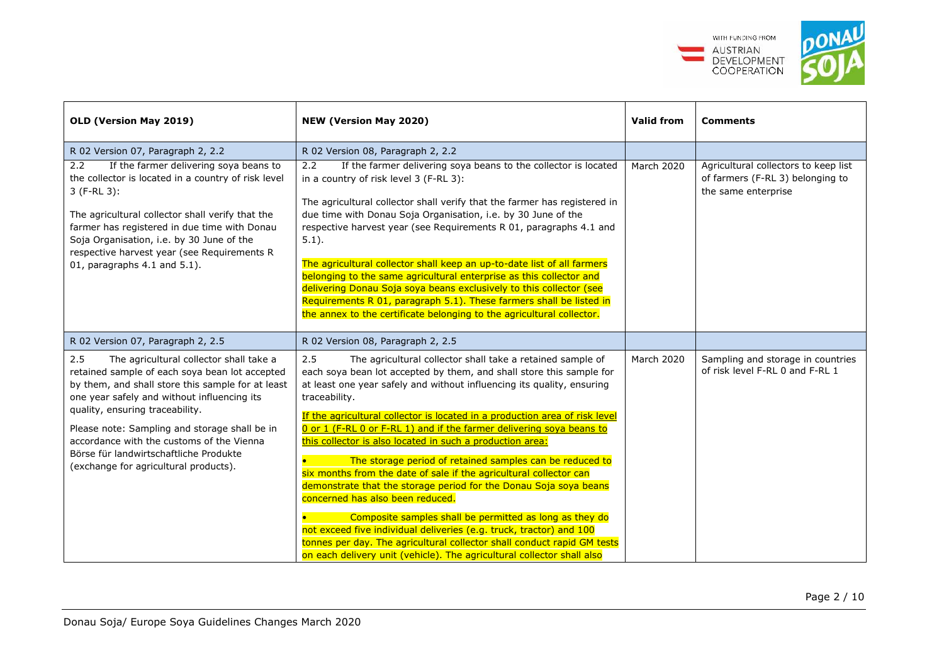

| OLD (Version May 2019)                                                                                                                                                                                                                                                                                                                                                                                                   | NEW (Version May 2020)                                                                                                                                                                                                                                                                                                                                                                                                                                                                                                                                                                                                                                                                                                                                                                                                                                                                                                                                                                     | <b>Valid from</b> | <b>Comments</b>                                                                                 |
|--------------------------------------------------------------------------------------------------------------------------------------------------------------------------------------------------------------------------------------------------------------------------------------------------------------------------------------------------------------------------------------------------------------------------|--------------------------------------------------------------------------------------------------------------------------------------------------------------------------------------------------------------------------------------------------------------------------------------------------------------------------------------------------------------------------------------------------------------------------------------------------------------------------------------------------------------------------------------------------------------------------------------------------------------------------------------------------------------------------------------------------------------------------------------------------------------------------------------------------------------------------------------------------------------------------------------------------------------------------------------------------------------------------------------------|-------------------|-------------------------------------------------------------------------------------------------|
| R 02 Version 07, Paragraph 2, 2.2                                                                                                                                                                                                                                                                                                                                                                                        | R 02 Version 08, Paragraph 2, 2.2                                                                                                                                                                                                                                                                                                                                                                                                                                                                                                                                                                                                                                                                                                                                                                                                                                                                                                                                                          |                   |                                                                                                 |
| If the farmer delivering soya beans to<br>2.2<br>the collector is located in a country of risk level<br>$3(F-RL3)$ :<br>The agricultural collector shall verify that the<br>farmer has registered in due time with Donau<br>Soja Organisation, i.e. by 30 June of the<br>respective harvest year (see Requirements R<br>01, paragraphs 4.1 and 5.1).                                                                     | If the farmer delivering soya beans to the collector is located<br>2.2<br>in a country of risk level 3 (F-RL 3):<br>The agricultural collector shall verify that the farmer has registered in<br>due time with Donau Soja Organisation, i.e. by 30 June of the<br>respective harvest year (see Requirements R 01, paragraphs 4.1 and<br>$5.1$ ).<br>The agricultural collector shall keep an up-to-date list of all farmers<br>belonging to the same agricultural enterprise as this collector and<br>delivering Donau Soja soya beans exclusively to this collector (see<br>Requirements R 01, paragraph 5.1). These farmers shall be listed in<br>the annex to the certificate belonging to the agricultural collector.                                                                                                                                                                                                                                                                  | <b>March 2020</b> | Agricultural collectors to keep list<br>of farmers (F-RL 3) belonging to<br>the same enterprise |
| R 02 Version 07, Paragraph 2, 2.5                                                                                                                                                                                                                                                                                                                                                                                        | R 02 Version 08, Paragraph 2, 2.5                                                                                                                                                                                                                                                                                                                                                                                                                                                                                                                                                                                                                                                                                                                                                                                                                                                                                                                                                          |                   |                                                                                                 |
| 2.5<br>The agricultural collector shall take a<br>retained sample of each soya bean lot accepted<br>by them, and shall store this sample for at least<br>one year safely and without influencing its<br>quality, ensuring traceability.<br>Please note: Sampling and storage shall be in<br>accordance with the customs of the Vienna<br>Börse für landwirtschaftliche Produkte<br>(exchange for agricultural products). | 2.5<br>The agricultural collector shall take a retained sample of<br>each soya bean lot accepted by them, and shall store this sample for<br>at least one year safely and without influencing its quality, ensuring<br>traceability.<br>If the agricultural collector is located in a production area of risk level<br>0 or 1 (F-RL 0 or F-RL 1) and if the farmer delivering soya beans to<br>this collector is also located in such a production area:<br>The storage period of retained samples can be reduced to<br>six months from the date of sale if the agricultural collector can<br>demonstrate that the storage period for the Donau Soja soya beans<br>concerned has also been reduced.<br>Composite samples shall be permitted as long as they do<br>not exceed five individual deliveries (e.g. truck, tractor) and 100<br>tonnes per day. The agricultural collector shall conduct rapid GM tests<br>on each delivery unit (vehicle). The agricultural collector shall also | <b>March 2020</b> | Sampling and storage in countries<br>of risk level F-RL 0 and F-RL 1                            |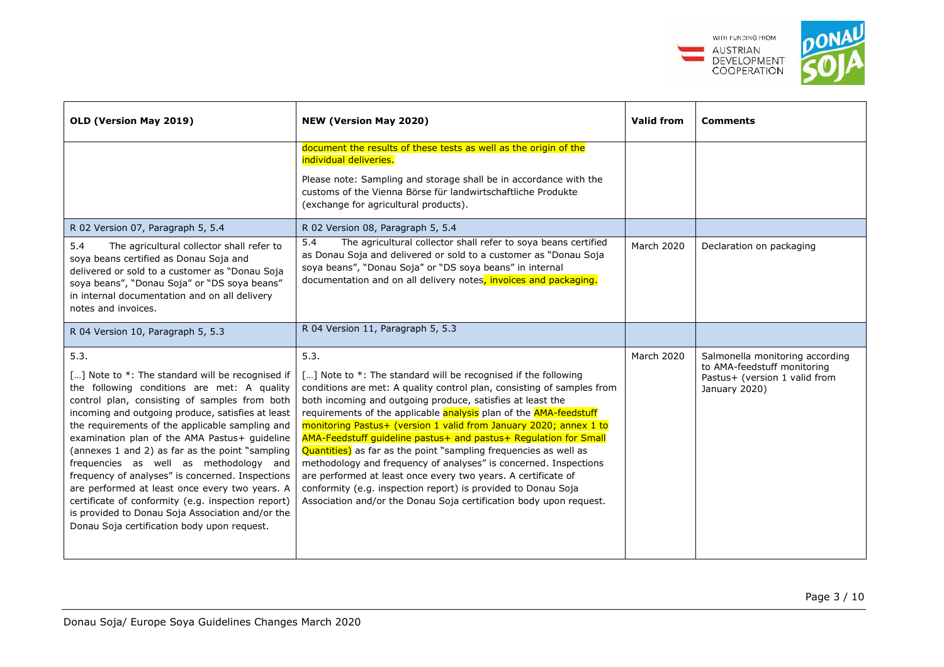

| OLD (Version May 2019)                                                                                                                                                                                                                                                                                                                                                                                                                                                                                                                                                                                                                                                        | NEW (Version May 2020)                                                                                                                                                                                                                                                                                                                                                                                                                                                                                                                                                                                                                                                                                                                                                              | <b>Valid from</b> | <b>Comments</b>                                                                                                  |  |
|-------------------------------------------------------------------------------------------------------------------------------------------------------------------------------------------------------------------------------------------------------------------------------------------------------------------------------------------------------------------------------------------------------------------------------------------------------------------------------------------------------------------------------------------------------------------------------------------------------------------------------------------------------------------------------|-------------------------------------------------------------------------------------------------------------------------------------------------------------------------------------------------------------------------------------------------------------------------------------------------------------------------------------------------------------------------------------------------------------------------------------------------------------------------------------------------------------------------------------------------------------------------------------------------------------------------------------------------------------------------------------------------------------------------------------------------------------------------------------|-------------------|------------------------------------------------------------------------------------------------------------------|--|
|                                                                                                                                                                                                                                                                                                                                                                                                                                                                                                                                                                                                                                                                               | document the results of these tests as well as the origin of the<br>individual deliveries.<br>Please note: Sampling and storage shall be in accordance with the<br>customs of the Vienna Börse für landwirtschaftliche Produkte<br>(exchange for agricultural products).                                                                                                                                                                                                                                                                                                                                                                                                                                                                                                            |                   |                                                                                                                  |  |
| R 02 Version 07, Paragraph 5, 5.4<br>5.4<br>The agricultural collector shall refer to<br>soya beans certified as Donau Soja and                                                                                                                                                                                                                                                                                                                                                                                                                                                                                                                                               | R 02 Version 08, Paragraph 5, 5.4<br>The agricultural collector shall refer to soya beans certified<br>5.4<br>as Donau Soja and delivered or sold to a customer as "Donau Soja                                                                                                                                                                                                                                                                                                                                                                                                                                                                                                                                                                                                      | <b>March 2020</b> | Declaration on packaging                                                                                         |  |
| delivered or sold to a customer as "Donau Soja<br>soya beans", "Donau Soja" or "DS soya beans"<br>in internal documentation and on all delivery<br>notes and invoices.                                                                                                                                                                                                                                                                                                                                                                                                                                                                                                        | soya beans", "Donau Soja" or "DS soya beans" in internal<br>documentation and on all delivery notes, invoices and packaging.                                                                                                                                                                                                                                                                                                                                                                                                                                                                                                                                                                                                                                                        |                   |                                                                                                                  |  |
| R 04 Version 10, Paragraph 5, 5.3                                                                                                                                                                                                                                                                                                                                                                                                                                                                                                                                                                                                                                             | R 04 Version 11, Paragraph 5, 5.3                                                                                                                                                                                                                                                                                                                                                                                                                                                                                                                                                                                                                                                                                                                                                   |                   |                                                                                                                  |  |
| 5.3.<br>[] Note to *: The standard will be recognised if<br>the following conditions are met: A quality<br>control plan, consisting of samples from both<br>incoming and outgoing produce, satisfies at least<br>the requirements of the applicable sampling and<br>examination plan of the AMA Pastus+ guideline<br>(annexes 1 and 2) as far as the point "sampling<br>frequencies as well as methodology and<br>frequency of analyses" is concerned. Inspections<br>are performed at least once every two years. A<br>certificate of conformity (e.g. inspection report)<br>is provided to Donau Soja Association and/or the<br>Donau Soja certification body upon request. | 5.3.<br>[] Note to *: The standard will be recognised if the following<br>conditions are met: A quality control plan, consisting of samples from<br>both incoming and outgoing produce, satisfies at least the<br>requirements of the applicable analysis plan of the <b>AMA-feedstuff</b><br>monitoring Pastus+ (version 1 valid from January 2020; annex 1 to<br>AMA-Feedstuff guideline pastus+ and pastus+ Regulation for Small<br>Quantities) as far as the point "sampling frequencies as well as<br>methodology and frequency of analyses" is concerned. Inspections<br>are performed at least once every two years. A certificate of<br>conformity (e.g. inspection report) is provided to Donau Soja<br>Association and/or the Donau Soja certification body upon request. | <b>March 2020</b> | Salmonella monitoring according<br>to AMA-feedstuff monitoring<br>Pastus+ (version 1 valid from<br>January 2020) |  |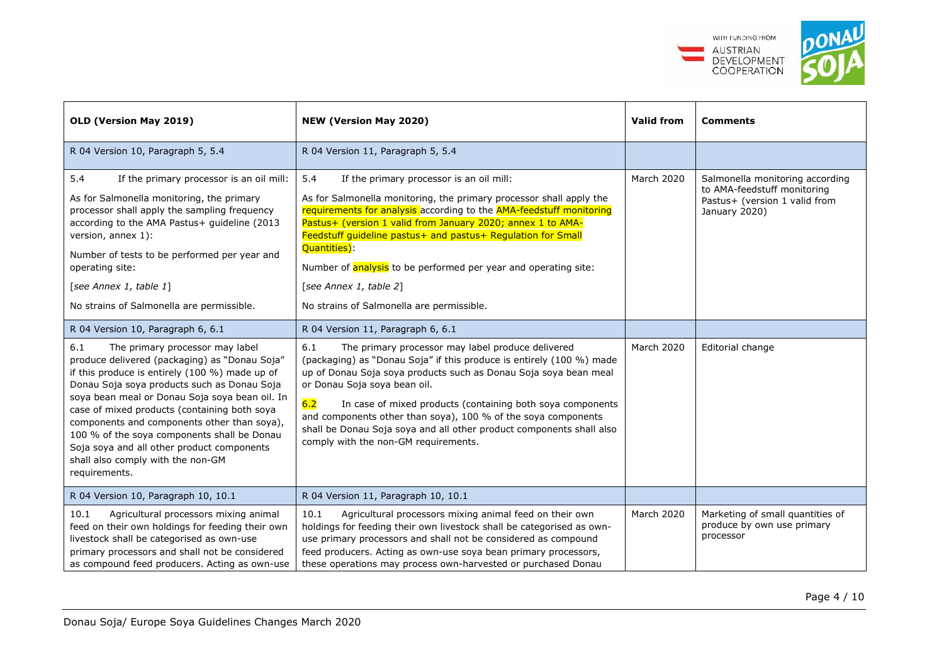

| OLD (Version May 2019)                                                                                                                                                                                                                                                                                                                                                                                                                                                                       | <b>NEW (Version May 2020)</b>                                                                                                                                                                                                                                                                                                                                                                                                                                                                            | <b>Valid from</b> | <b>Comments</b>                                                                                                  |
|----------------------------------------------------------------------------------------------------------------------------------------------------------------------------------------------------------------------------------------------------------------------------------------------------------------------------------------------------------------------------------------------------------------------------------------------------------------------------------------------|----------------------------------------------------------------------------------------------------------------------------------------------------------------------------------------------------------------------------------------------------------------------------------------------------------------------------------------------------------------------------------------------------------------------------------------------------------------------------------------------------------|-------------------|------------------------------------------------------------------------------------------------------------------|
| R 04 Version 10, Paragraph 5, 5.4                                                                                                                                                                                                                                                                                                                                                                                                                                                            | R 04 Version 11, Paragraph 5, 5.4                                                                                                                                                                                                                                                                                                                                                                                                                                                                        |                   |                                                                                                                  |
| 5.4<br>If the primary processor is an oil mill:<br>As for Salmonella monitoring, the primary<br>processor shall apply the sampling frequency<br>according to the AMA Pastus+ guideline (2013<br>version, annex 1):<br>Number of tests to be performed per year and<br>operating site:<br>[see Annex 1, table 1]<br>No strains of Salmonella are permissible.                                                                                                                                 | 5.4<br>If the primary processor is an oil mill:<br>As for Salmonella monitoring, the primary processor shall apply the<br>requirements for analysis according to the AMA-feedstuff monitoring<br>Pastus+ (version 1 valid from January 2020; annex 1 to AMA-<br>Feedstuff guideline pastus+ and pastus+ Regulation for Small<br>Quantities):<br>Number of <b>analysis</b> to be performed per year and operating site:<br>[see Annex 1, table 2]<br>No strains of Salmonella are permissible.            | March 2020        | Salmonella monitoring according<br>to AMA-feedstuff monitoring<br>Pastus+ (version 1 valid from<br>January 2020) |
| R 04 Version 10, Paragraph 6, 6.1                                                                                                                                                                                                                                                                                                                                                                                                                                                            | R 04 Version 11, Paragraph 6, 6.1                                                                                                                                                                                                                                                                                                                                                                                                                                                                        |                   |                                                                                                                  |
| 6.1<br>The primary processor may label<br>produce delivered (packaging) as "Donau Soja"<br>if this produce is entirely (100 %) made up of<br>Donau Soja soya products such as Donau Soja<br>soya bean meal or Donau Soja soya bean oil. In<br>case of mixed products (containing both soya<br>components and components other than soya),<br>100 % of the soya components shall be Donau<br>Soja soya and all other product components<br>shall also comply with the non-GM<br>requirements. | 6.1<br>The primary processor may label produce delivered<br>March 2020<br>(packaging) as "Donau Soja" if this produce is entirely (100 %) made<br>up of Donau Soja soya products such as Donau Soja soya bean meal<br>or Donau Soja soya bean oil.<br>6.2<br>In case of mixed products (containing both soya components<br>and components other than soya), 100 % of the soya components<br>shall be Donau Soja soya and all other product components shall also<br>comply with the non-GM requirements. |                   | Editorial change                                                                                                 |
| R 04 Version 10, Paragraph 10, 10.1                                                                                                                                                                                                                                                                                                                                                                                                                                                          | R 04 Version 11, Paragraph 10, 10.1                                                                                                                                                                                                                                                                                                                                                                                                                                                                      |                   |                                                                                                                  |
| 10.1<br>Agricultural processors mixing animal<br>feed on their own holdings for feeding their own<br>livestock shall be categorised as own-use<br>primary processors and shall not be considered<br>as compound feed producers. Acting as own-use                                                                                                                                                                                                                                            | Agricultural processors mixing animal feed on their own<br>10.1<br>holdings for feeding their own livestock shall be categorised as own-<br>use primary processors and shall not be considered as compound<br>feed producers. Acting as own-use soya bean primary processors,<br>these operations may process own-harvested or purchased Donau                                                                                                                                                           | March 2020        | Marketing of small quantities of<br>produce by own use primary<br>processor                                      |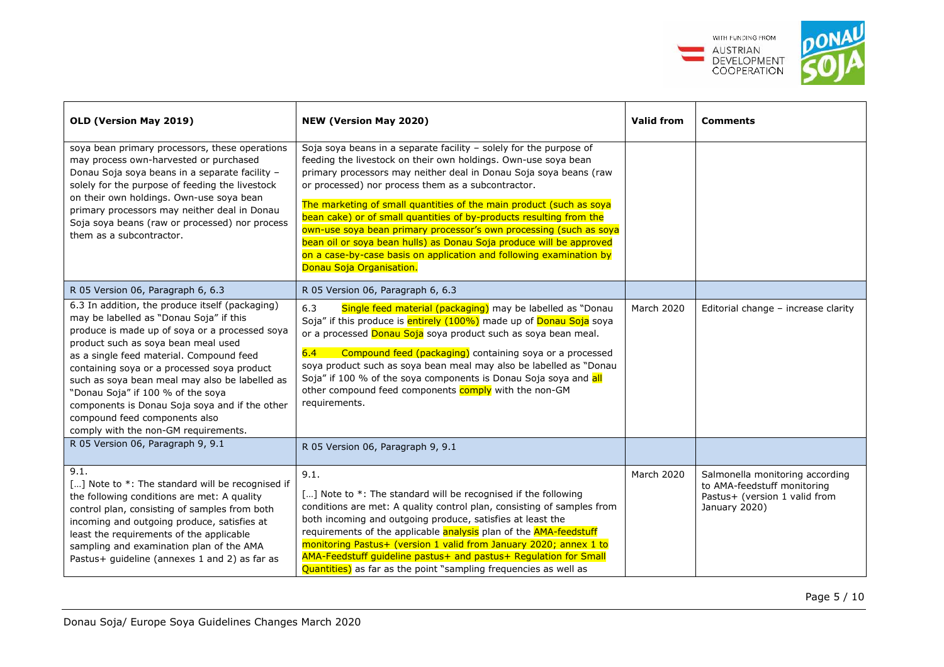

| OLD (Version May 2019)                                                                                                                                                                                                                                                                                                                                                                                                                                                                           | NEW (Version May 2020)                                                                                                                                                                                                                                                                                                                                                                                                                                                                                                                                                                                                                                        | <b>Valid from</b> | <b>Comments</b>                                                                                                  |
|--------------------------------------------------------------------------------------------------------------------------------------------------------------------------------------------------------------------------------------------------------------------------------------------------------------------------------------------------------------------------------------------------------------------------------------------------------------------------------------------------|---------------------------------------------------------------------------------------------------------------------------------------------------------------------------------------------------------------------------------------------------------------------------------------------------------------------------------------------------------------------------------------------------------------------------------------------------------------------------------------------------------------------------------------------------------------------------------------------------------------------------------------------------------------|-------------------|------------------------------------------------------------------------------------------------------------------|
| soya bean primary processors, these operations<br>may process own-harvested or purchased<br>Donau Soja soya beans in a separate facility -<br>solely for the purpose of feeding the livestock<br>on their own holdings. Own-use soya bean<br>primary processors may neither deal in Donau<br>Soja soya beans (raw or processed) nor process<br>them as a subcontractor.                                                                                                                          | Soja soya beans in a separate facility - solely for the purpose of<br>feeding the livestock on their own holdings. Own-use soya bean<br>primary processors may neither deal in Donau Soja soya beans (raw<br>or processed) nor process them as a subcontractor.<br>The marketing of small quantities of the main product (such as soya<br>bean cake) or of small quantities of by-products resulting from the<br>own-use soya bean primary processor's own processing (such as soya<br>bean oil or soya bean hulls) as Donau Soja produce will be approved<br>on a case-by-case basis on application and following examination by<br>Donau Soja Organisation. |                   |                                                                                                                  |
| R 05 Version 06, Paragraph 6, 6.3                                                                                                                                                                                                                                                                                                                                                                                                                                                                | R 05 Version 06, Paragraph 6, 6.3                                                                                                                                                                                                                                                                                                                                                                                                                                                                                                                                                                                                                             |                   |                                                                                                                  |
| 6.3 In addition, the produce itself (packaging)<br>may be labelled as "Donau Soja" if this<br>produce is made up of soya or a processed soya<br>product such as soya bean meal used<br>as a single feed material. Compound feed<br>containing soya or a processed soya product<br>such as soya bean meal may also be labelled as<br>"Donau Soja" if 100 % of the soya<br>components is Donau Soja soya and if the other<br>compound feed components also<br>comply with the non-GM requirements. | 6.3<br>Single feed material (packaging) may be labelled as "Donau<br>Soja" if this produce is entirely (100%) made up of Donau Soja soya<br>or a processed Donau Soja soya product such as soya bean meal.<br>Compound feed (packaging) containing soya or a processed<br>6.4<br>soya product such as soya bean meal may also be labelled as "Donau<br>Soja" if 100 % of the soya components is Donau Soja soya and all<br>other compound feed components comply with the non-GM<br>requirements.                                                                                                                                                             | <b>March 2020</b> | Editorial change - increase clarity                                                                              |
| R 05 Version 06, Paragraph 9, 9.1                                                                                                                                                                                                                                                                                                                                                                                                                                                                | R 05 Version 06, Paragraph 9, 9.1                                                                                                                                                                                                                                                                                                                                                                                                                                                                                                                                                                                                                             |                   |                                                                                                                  |
| 9.1.<br>[] Note to *: The standard will be recognised if<br>the following conditions are met: A quality<br>control plan, consisting of samples from both<br>incoming and outgoing produce, satisfies at<br>least the requirements of the applicable<br>sampling and examination plan of the AMA<br>Pastus+ guideline (annexes 1 and 2) as far as                                                                                                                                                 | 9.1.<br>[] Note to *: The standard will be recognised if the following<br>conditions are met: A quality control plan, consisting of samples from<br>both incoming and outgoing produce, satisfies at least the<br>requirements of the applicable analysis plan of the AMA-feedstuff<br>monitoring Pastus+ (version 1 valid from January 2020; annex 1 to<br>AMA-Feedstuff guideline pastus+ and pastus+ Regulation for Small<br>Quantities) as far as the point "sampling frequencies as well as                                                                                                                                                              | <b>March 2020</b> | Salmonella monitoring according<br>to AMA-feedstuff monitoring<br>Pastus+ (version 1 valid from<br>January 2020) |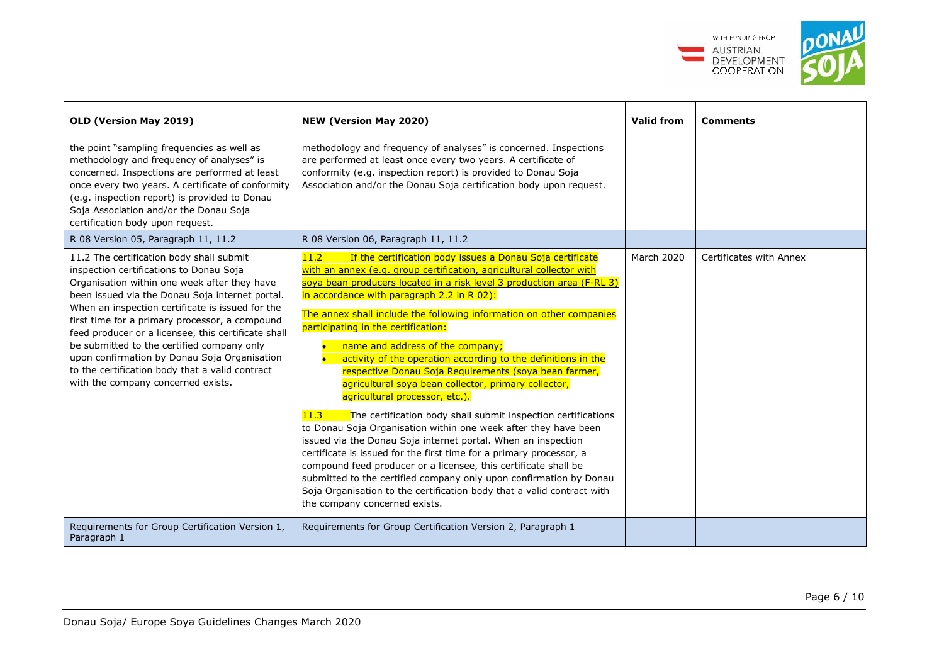

| OLD (Version May 2019)                                                                                                                                                                                                                                                                                                                                                                                                                                                                                                                     | <b>NEW (Version May 2020)</b>                                                                                                                                                                                                                                                                                                                                                                                                                                                                                                                                                                                                                                                                                                                                                                                                                                                                                                                                                                                                                                                                                                                                                    | <b>Valid from</b> | <b>Comments</b>         |
|--------------------------------------------------------------------------------------------------------------------------------------------------------------------------------------------------------------------------------------------------------------------------------------------------------------------------------------------------------------------------------------------------------------------------------------------------------------------------------------------------------------------------------------------|----------------------------------------------------------------------------------------------------------------------------------------------------------------------------------------------------------------------------------------------------------------------------------------------------------------------------------------------------------------------------------------------------------------------------------------------------------------------------------------------------------------------------------------------------------------------------------------------------------------------------------------------------------------------------------------------------------------------------------------------------------------------------------------------------------------------------------------------------------------------------------------------------------------------------------------------------------------------------------------------------------------------------------------------------------------------------------------------------------------------------------------------------------------------------------|-------------------|-------------------------|
| the point "sampling frequencies as well as<br>methodology and frequency of analyses" is<br>concerned. Inspections are performed at least<br>once every two years. A certificate of conformity<br>(e.g. inspection report) is provided to Donau<br>Soja Association and/or the Donau Soja<br>certification body upon request.                                                                                                                                                                                                               | methodology and frequency of analyses" is concerned. Inspections<br>are performed at least once every two years. A certificate of<br>conformity (e.g. inspection report) is provided to Donau Soja<br>Association and/or the Donau Soja certification body upon request.                                                                                                                                                                                                                                                                                                                                                                                                                                                                                                                                                                                                                                                                                                                                                                                                                                                                                                         |                   |                         |
| R 08 Version 05, Paragraph 11, 11.2                                                                                                                                                                                                                                                                                                                                                                                                                                                                                                        | R 08 Version 06, Paragraph 11, 11.2                                                                                                                                                                                                                                                                                                                                                                                                                                                                                                                                                                                                                                                                                                                                                                                                                                                                                                                                                                                                                                                                                                                                              |                   |                         |
| 11.2 The certification body shall submit<br>inspection certifications to Donau Soja<br>Organisation within one week after they have<br>been issued via the Donau Soja internet portal.<br>When an inspection certificate is issued for the<br>first time for a primary processor, a compound<br>feed producer or a licensee, this certificate shall<br>be submitted to the certified company only<br>upon confirmation by Donau Soja Organisation<br>to the certification body that a valid contract<br>with the company concerned exists. | If the certification body issues a Donau Soja certificate<br>11.2<br>with an annex (e.g. group certification, agricultural collector with<br>soya bean producers located in a risk level 3 production area (F-RL 3)<br>in accordance with paragraph 2.2 in R 02):<br>The annex shall include the following information on other companies<br>participating in the certification:<br>name and address of the company;<br>activity of the operation according to the definitions in the<br>respective Donau Soja Requirements (soya bean farmer,<br>agricultural soya bean collector, primary collector,<br>agricultural processor, etc.).<br>11.3<br>The certification body shall submit inspection certifications<br>to Donau Soja Organisation within one week after they have been<br>issued via the Donau Soja internet portal. When an inspection<br>certificate is issued for the first time for a primary processor, a<br>compound feed producer or a licensee, this certificate shall be<br>submitted to the certified company only upon confirmation by Donau<br>Soja Organisation to the certification body that a valid contract with<br>the company concerned exists. | March 2020        | Certificates with Annex |
| Requirements for Group Certification Version 1,<br>Paragraph 1                                                                                                                                                                                                                                                                                                                                                                                                                                                                             | Requirements for Group Certification Version 2, Paragraph 1                                                                                                                                                                                                                                                                                                                                                                                                                                                                                                                                                                                                                                                                                                                                                                                                                                                                                                                                                                                                                                                                                                                      |                   |                         |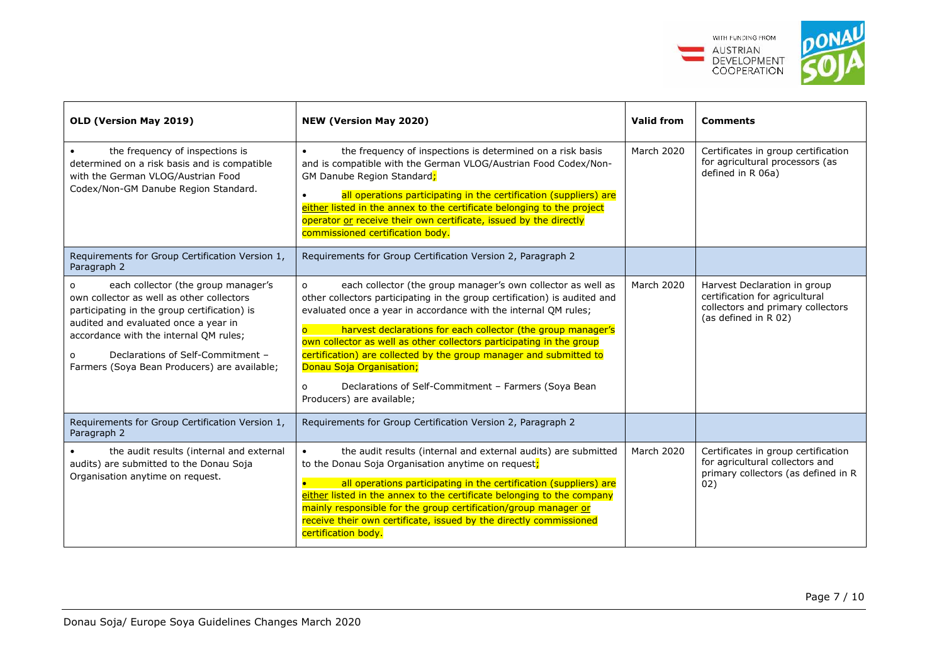

| OLD (Version May 2019)                                                                                                                                                                                                                                                                                       | <b>NEW (Version May 2020)</b>                                                                                                                                                                                                                                                                                                                                                                                                                                                                                                                                                         | <b>Valid from</b> | <b>Comments</b>                                                                                                             |
|--------------------------------------------------------------------------------------------------------------------------------------------------------------------------------------------------------------------------------------------------------------------------------------------------------------|---------------------------------------------------------------------------------------------------------------------------------------------------------------------------------------------------------------------------------------------------------------------------------------------------------------------------------------------------------------------------------------------------------------------------------------------------------------------------------------------------------------------------------------------------------------------------------------|-------------------|-----------------------------------------------------------------------------------------------------------------------------|
| the frequency of inspections is<br>determined on a risk basis and is compatible<br>with the German VLOG/Austrian Food<br>Codex/Non-GM Danube Region Standard.                                                                                                                                                | the frequency of inspections is determined on a risk basis<br>$\bullet$<br>and is compatible with the German VLOG/Austrian Food Codex/Non-<br>GM Danube Region Standard;<br>all operations participating in the certification (suppliers) are<br>either listed in the annex to the certificate belonging to the project<br>operator or receive their own certificate, issued by the directly<br>commissioned certification body.                                                                                                                                                      | March 2020        | Certificates in group certification<br>for agricultural processors (as<br>defined in R 06a)                                 |
| Requirements for Group Certification Version 1,<br>Paragraph 2                                                                                                                                                                                                                                               | Requirements for Group Certification Version 2, Paragraph 2                                                                                                                                                                                                                                                                                                                                                                                                                                                                                                                           |                   |                                                                                                                             |
| each collector (the group manager's<br>own collector as well as other collectors<br>participating in the group certification) is<br>audited and evaluated once a year in<br>accordance with the internal QM rules;<br>Declarations of Self-Commitment -<br>O<br>Farmers (Soya Bean Producers) are available; | each collector (the group manager's own collector as well as<br>$\Omega$<br>other collectors participating in the group certification) is audited and<br>evaluated once a year in accordance with the internal QM rules;<br>harvest declarations for each collector (the group manager's<br>$\overline{O}$<br>own collector as well as other collectors participating in the group<br>certification) are collected by the group manager and submitted to<br>Donau Soja Organisation;<br>Declarations of Self-Commitment - Farmers (Soya Bean<br>$\Omega$<br>Producers) are available; | March 2020        | Harvest Declaration in group<br>certification for agricultural<br>collectors and primary collectors<br>(as defined in R 02) |
| Requirements for Group Certification Version 1,<br>Paragraph 2                                                                                                                                                                                                                                               | Requirements for Group Certification Version 2, Paragraph 2                                                                                                                                                                                                                                                                                                                                                                                                                                                                                                                           |                   |                                                                                                                             |
| the audit results (internal and external<br>audits) are submitted to the Donau Soja<br>Organisation anytime on request.                                                                                                                                                                                      | the audit results (internal and external audits) are submitted<br>to the Donau Soja Organisation anytime on request;<br>all operations participating in the certification (suppliers) are<br>either listed in the annex to the certificate belonging to the company<br>mainly responsible for the group certification/group manager or<br>receive their own certificate, issued by the directly commissioned<br>certification body.                                                                                                                                                   | March 2020        | Certificates in group certification<br>for agricultural collectors and<br>primary collectors (as defined in R<br>02)        |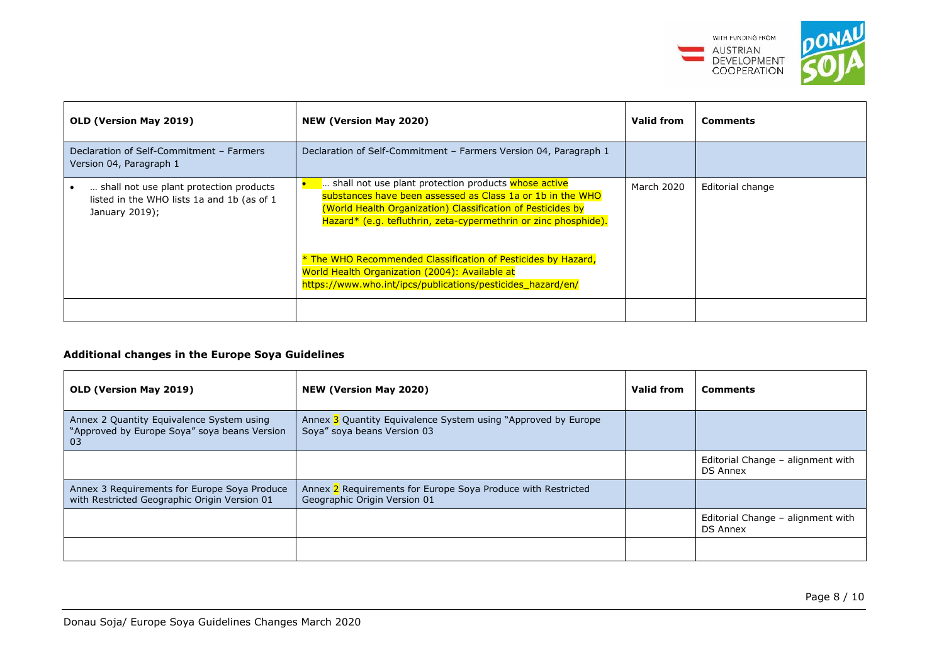

| <b>OLD (Version May 2019)</b>                                                                           | <b>NEW (Version May 2020)</b>                                                                                                                                                                                                                                                                                         | <b>Valid from</b> | <b>Comments</b>  |
|---------------------------------------------------------------------------------------------------------|-----------------------------------------------------------------------------------------------------------------------------------------------------------------------------------------------------------------------------------------------------------------------------------------------------------------------|-------------------|------------------|
| Declaration of Self-Commitment - Farmers<br>Version 04, Paragraph 1                                     | Declaration of Self-Commitment - Farmers Version 04, Paragraph 1                                                                                                                                                                                                                                                      |                   |                  |
| shall not use plant protection products<br>listed in the WHO lists 1a and 1b (as of 1<br>January 2019); | shall not use plant protection products whose active<br>substances have been assessed as Class 1a or 1b in the WHO<br>(World Health Organization) Classification of Pesticides by<br>Hazard* (e.g. tefluthrin, zeta-cypermethrin or zinc phosphide).<br>* The WHO Recommended Classification of Pesticides by Hazard, | March 2020        | Editorial change |
|                                                                                                         | World Health Organization (2004): Available at<br>https://www.who.int/ipcs/publications/pesticides_hazard/en/                                                                                                                                                                                                         |                   |                  |
|                                                                                                         |                                                                                                                                                                                                                                                                                                                       |                   |                  |

## **Additional changes in the Europe Soya Guidelines**

| <b>OLD (Version May 2019)</b>                                                                   | <b>NEW (Version May 2020)</b>                                                                | Valid from | <b>Comments</b>                                      |  |
|-------------------------------------------------------------------------------------------------|----------------------------------------------------------------------------------------------|------------|------------------------------------------------------|--|
| Annex 2 Quantity Equivalence System using<br>"Approved by Europe Soya" soya beans Version<br>03 | Annex 3 Quantity Equivalence System using "Approved by Europe<br>Soya" soya beans Version 03 |            |                                                      |  |
|                                                                                                 |                                                                                              |            | Editorial Change - alignment with<br><b>DS Annex</b> |  |
| Annex 3 Requirements for Europe Soya Produce<br>with Restricted Geographic Origin Version 01    | Annex 2 Requirements for Europe Soya Produce with Restricted<br>Geographic Origin Version 01 |            |                                                      |  |
|                                                                                                 |                                                                                              |            | Editorial Change - alignment with<br><b>DS Annex</b> |  |
|                                                                                                 |                                                                                              |            |                                                      |  |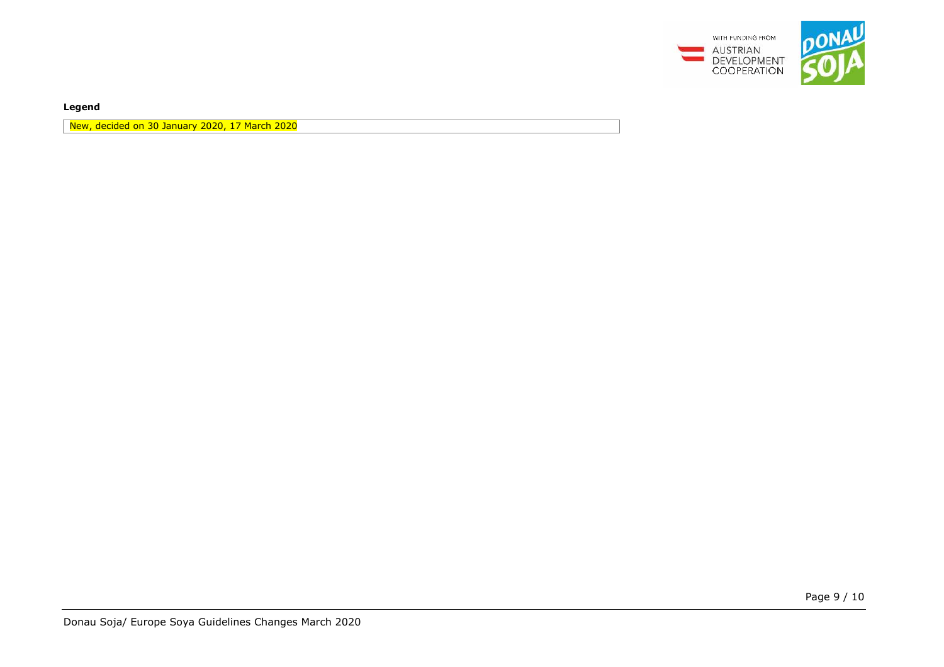

**Legend** 

New, decided on 30 January 2020, 17 March 2020